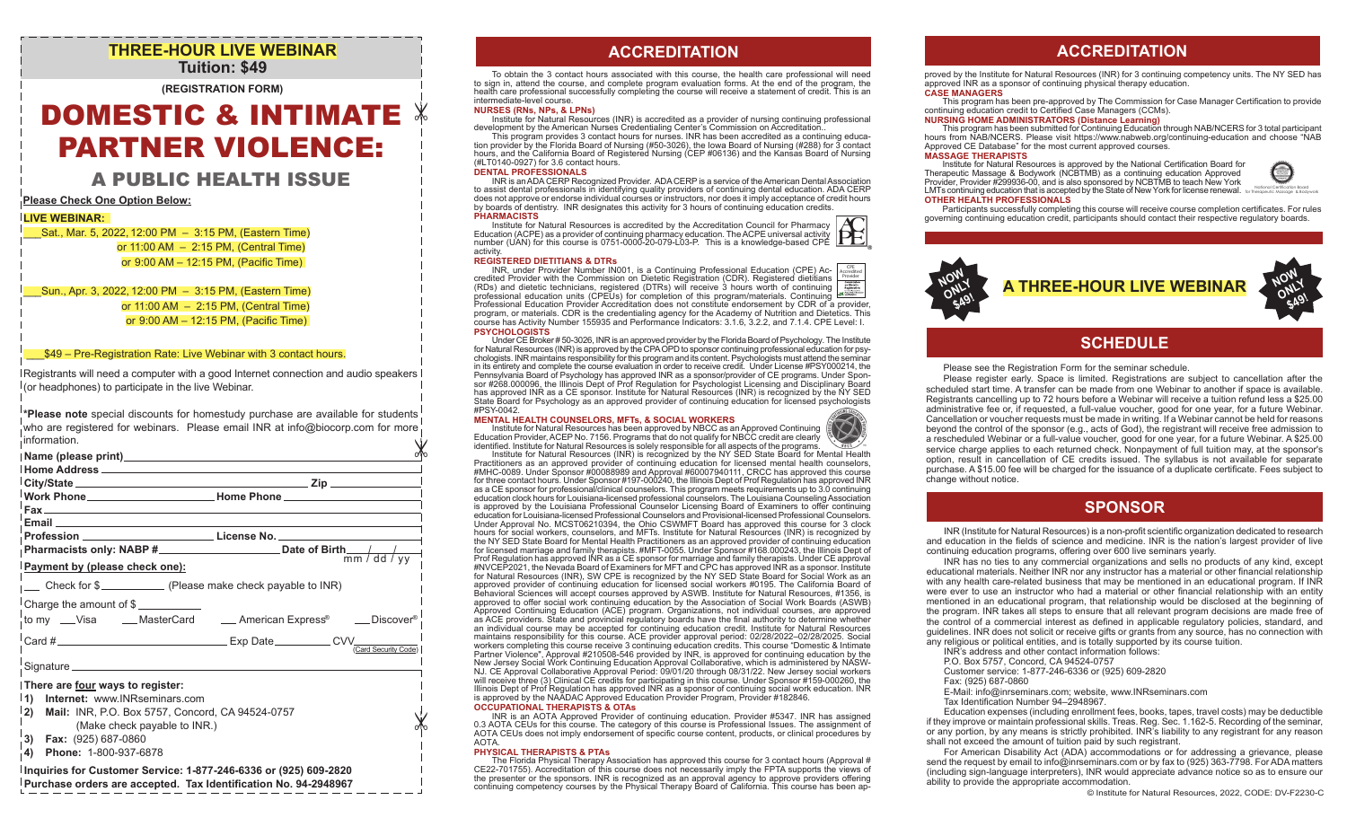# **THREE-HOUR LIVE WEBINAR Tuition: \$49**

**(REGISTRATION FORM)**

# DOMESTIC & INTIMATE PARTNER VIOLENCE:

# A PUBLIC HEALTH ISSUE

**Please Check One Option Below:**

# **LIVE WEBINAR:**

\_\_\_Sat., Mar. 5, 2022, 12:00 PM – 3:15 PM, (Eastern Time) or 11:00 AM – 2:15 PM, (Central Time) or  9:00 AM – 12:15 PM, (Pacific Time)

\_\_\_Sun., Apr. 3, 2022, 12:00 PM – 3:15 PM, (Eastern Time) or 11:00 AM – 2:15 PM, (Central Time) or  9:00 AM – 12:15 PM, (Pacific Time)

# \_\_\_\$49 – Pre-Registration Rate: Live Webinar with 3 contact hours.

Registrants will need a computer with a good Internet connection and audio speakers (or headphones) to participate in the live Webinar.

**\*Please note** special discounts for homestudy purchase are available for students who are registered for webinars. Please email INR at info@biocorp.com for more information.

| . Information.                                                                                                                                                  |                                                                                  |
|-----------------------------------------------------------------------------------------------------------------------------------------------------------------|----------------------------------------------------------------------------------|
| Name (please print) Name (please print)                                                                                                                         |                                                                                  |
|                                                                                                                                                                 | 「City/State_______________________ Zip _________                                 |
|                                                                                                                                                                 |                                                                                  |
|                                                                                                                                                                 |                                                                                  |
|                                                                                                                                                                 | Profession __________________________________License No. _______________________ |
|                                                                                                                                                                 |                                                                                  |
| <b>Payment by (please check one):</b>                                                                                                                           |                                                                                  |
| Check for \$                                                                                                                                                    |                                                                                  |
|                                                                                                                                                                 | to my __Visa ____MasterCard _____American Express® ____Discover®                 |
|                                                                                                                                                                 | Card #                                                                           |
| Signature                                                                                                                                                       |                                                                                  |
| There are four ways to register:<br>1) Internet: www.INRseminars.com<br> 2)<br>Mail: INR, P.O. Box 5757, Concord, CA 94524-0757<br>(Make check payable to INR.) |                                                                                  |
| $\vert$ 3) Fax: (925) 687-0860                                                                                                                                  |                                                                                  |

**4) Phone:** 1-800-937-6878

# **Inquiries for Customer Service: 1-877-246-6336 or (925) 609-2820 Purchase orders are accepted. Tax Identification No. 94-2948967**

To obtain the 3 contact hours associated with this course, the health care professional will need to sign in, attend the course, and complete program evaluation forms. At the end of the program, the health care professional successfully completing the course will receive a statement of credit. This is an intermediate-level course.

## **NURSES (RNs, NPs, & LPNs)**

 $\mathbb X$ 

Institute for Natural Resources (INR) is accredited as a provider of nursing continuing professional development by the American Nurses Credentialing Center's Commission on Accreditation..<br>This program provides 3 contact hours for nurses. INR has been accredited as a continuing educa-

tion provider by the Florida Board of Nursing (#50-3026), the Iowa Board of Nursing (#288) for 3 contact hours, and the California Board of Registered Nursing (CEP #06136) and the Kansas Board of Nursing (#LT0140-0927) for 3.6 contact hours.

## **DENTAL PROFESSIONALS**

INR is an ADA CERP Recognized Provider. ADA CERP is a service of the American Dental Association to assist dental professionals in identifying quality providers of continuing dental education. ADA CERP does not approve or endorse individual courses or instructors, nor does it imply acceptance of credit hours by boards of dentistry. INR designates this activity for 3 hours of continuing education credits. **PHARMACISTS**

Institute for Natural Resources is accredited by the Accreditation Council for Pharmacy Education (ACPE) as a provider of continuing pharmacy education. The ACPE universal activity number (UAN) for this course is 0751-0000-20-079-L03-P. This is a knowledge-based CPE activity.

## **REGISTERED DIETITIANS & DTRs**

INR, under Provider Number IN001, is a Continuing Professional Education (CPE) Ac- credited Provider with the Commission on Dietetic Registration (CDR). Registered dietitians (RDs) and dietetic technicians, registered (DTRs) will receive 3 hours worth of continuing professional education units (CPEUs) for completion of this program/materials. Continuing Professional Education Provider Accreditation does not constitute endorsement by CDR of a provider, program, or materials. CDR is the credentialing agency for the Academy of Nutrition and Dietetics. This course has Activity Number 155935 and Performance Indicators: 3.1.6, 3.2.2, and 7.1.4. CPE Level: I. **PSYCHOLOGISTS** CPE Accredited Provider

Under CE Broker # 50-3026, INR is an approved provider by the Florida Board of Psychology. The Institute for Natural Resources (INR) is approved by the CPA OPD to sponsor continuing professional education for psychologists. INR maintains responsibility for this program and its content. Psychologists must attend the seminar in its entirety and complete the course evaluation in order to receive credit. Under License #PSY000214, the Pennsylvania Board of Psychology has approved INR as a sponsor/provider of CE programs. Under Sponsor #268.000096, the Illinois Dept of Prof Regulation for Psychologist Licensing and Disciplinary Board has approved INR as a CE sponsor. Institute for Natural Resources (INR) is recognized by the NY SED State Board for Psychology as an approved provider of continuing education for licensed psychologists #PSY-0042.

### **MENTAL HEALTH COUNSELORS, MFTs, & SOCIAL WORKERS**

Institute for Natural Resources has been approved by NBCC as an Approved Continuing Education Provider, ACEP No. 7156. Programs that do not qualify for NBCC credit are clearly identified. Institute for Natural Resources is solely responsible for all aspects of the programs.

Institute for Natural Resources (INR) is recognized by the NY SED State Board for Mental Health Practitioners as an approved provider of continuing education for licensed mental health counselors, #MHC-0089. Under Sponsor #00088989 and Approval #60007940111, CRCC has approved this course for three contact hours. Under Sponsor #197-000240, the Illinois Dept of Prof Regulation has approved INR as a CE sponsor for professional/clinical counselors. This program meets requirements up to 3.0 continuing education clock hours for Louisiana-licensed professional counselors. The Louisiana Counseling Association is approved by the Louisiana Professional Counselor Licensing Board of Examiners to offer continuing education for Louisiana-licensed Professional Counselors and Provisional-licensed Professional Counselors. Under Approval No. MCST06210394, the Ohio CSWMFT Board has approved this course for 3 clock hours for social workers, counselors, and MFTs. Institute for Natural Resources (INR) is recognized by the NY SED State Board for Mental Health Practitioners as an approved provider of continuing education for licensed marriage and family therapists. #MFT-0055. Under Sponsor #168.000243, the Illinois Dept of Prof Regulation has approved INR as a CE sponsor for marriage and family therapists. Under CE approval #NVCEP2021, the Nevada Board of Examiners for MFT and CPC has approved INR as a sponsor. Institute for Natural Resources (INR), SW CPE is recognized by the NY SED State Board for Social Work as an approved provider of continuing education for licensed social workers #0195. The California Board of Behavioral Sciences will accept courses approved by ASWB. Institute for Natural Resources, #1356, is approved to offer social work continuing education by the Association of Social Work Boards (ASWB) Approved Continuing Education (ACE) program. Organizations, not individual courses, are approved as ACE providers. State and provincial regulatory boards have the final authority to determine whether an individual course may be accepted for continuing education credit. Institute for Natural Resources maintains responsibility for this course. ACE provider approval period: 02/28/2022–02/28/2025. Social workers completing this course receive 3 continuing education credits. This course "Domestic & Intimate Partner Violence", Approval #210508-546 provided by INR, is approved for continuing education by the New Jersey Social Work Continuing Education Approval Collaborative, which is administered by NASW-NJ. CE Approval Collaborative Approval Period: 09/01/20 through 08/31/22. New Jersey social workers will receive three (3) Clinical CE credits for participating in this course. Under Sponsor #159-000260, the Illinois Dept of Prof Regulation has approved INR as a sponsor of continuing social work education. INR<br>is approved by the NAADAC Approved Education Provider Program, Provider #182846. **OCCUPATIONAL THERAPISTS & OTAs**

INR is an AOTA Approved Provider of continuing education. Provider #5347. INR has assigned 0.3 AOTA CEUs for this course. The category of this course is Professional Issues. The assignment of AOTA CEUs does not imply endorsement of specific course content, products, or clinical procedures by AOTA.

## **PHYSICAL THERAPISTS & PTAs**

The Florida Physical Therapy Association has approved this course for 3 contact hours (Approval # CE22-701755). Accreditation of this course does not necessarily imply the FPTA supports the views of the presenter or the sponsors. INR is recognized as an approval agency to approve providers offering continuing competency courses by the Physical Therapy Board of California. This course has been ap-

# **ACCREDITATION ACCREDITATION**

proved by the Institute for Natural Resources (INR) for 3 continuing competency units. The NY SED has approved INR as a sponsor of continuing physical therapy education.

## **CASE MANAGERS**

This program has been pre-approved by The Commission for Case Manager Certification to provide continuing education credit to Certified Case Managers (CCMs).

## **NURSING HOME ADMINISTRATORS (Distance Learning)**

This program has been submitted for Continuing Education through NAB/NCERS for 3 total participant hours from NAB/NCERS. Please visit https://www.nabweb.org/continuing-education and choose "NAB Approved CE Database" for the most current approved courses. **MASSAGE THERAPISTS**

Institute for Natural Resources is approved by the National Certification Board for Therapeutic Massage & Bodywork (NCBTMB) as a continuing education Approved Provider, Provider #299936-00, and is also sponsored by NCBTMB to teach New York LMTs continuing education that is accepted by the State of New York for license renewal. In the represente Message & Bodywork **OTHER HEALTH PROFESSIONALS**



## Participants successfully completing this course will receive course completion certificates. For rules governing continuing education credit, participants should contact their respective regulatory boards.



# **SCHEDULE**

## Please see the Registration Form for the seminar schedule.

 Please register early. Space is limited. Registrations are subject to cancellation after the scheduled start time. A transfer can be made from one Webinar to another if space is available. Registrants cancelling up to 72 hours before a Webinar will receive a tuition refund less a \$25.00 administrative fee or, if requested, a full-value voucher, good for one year, for a future Webinar. Cancellation or voucher requests must be made in writing. If a Webinar cannot be held for reasons beyond the control of the sponsor (e.g., acts of God), the registrant will receive free admission to a rescheduled Webinar or a full-value voucher, good for one year, for a future Webinar. A \$25.00 service charge applies to each returned check. Nonpayment of full tuition may, at the sponsor's option, result in cancellation of CE credits issued. The syllabus is not available for separate purchase. A \$15.00 fee will be charged for the issuance of a duplicate certificate. Fees subject to change without notice.

# **SPONSOR**

INR (Institute for Natural Resources) is a non-profit scientific organization dedicated to research and education in the fields of science and medicine. INR is the nation's largest provider of live continuing education programs, offering over 600 live seminars yearly.

 INR has no ties to any commercial organizations and sells no products of any kind, except educational materials. Neither INR nor any instructor has a material or other financial relationship with any health care-related business that may be mentioned in an educational program. If INR were ever to use an instructor who had a material or other financial relationship with an entity mentioned in an educational program, that relationship would be disclosed at the beginning of the program. INR takes all steps to ensure that all relevant program decisions are made free of the control of a commercial interest as defined in applicable regulatory policies, standard, and guidelines. INR does not solicit or receive gifts or grants from any source, has no connection with any religious or political entities, and is totally supported by its course tuition.

- INR's address and other contact information follows:
- P.O. Box 5757, Concord, CA 94524-0757
- Customer service: 1-877-246-6336 or (925) 609-2820
- Fax: (925) 687-0860
- E-Mail: info@inrseminars.com; website, www.INRseminars.com
- Tax Identification Number 94–2948967.

 Education expenses (including enrollment fees, books, tapes, travel costs) may be deductible if they improve or maintain professional skills. Treas. Reg. Sec. 1.162-5. Recording of the seminar, or any portion, by any means is strictly prohibited. INR's liability to any registrant for any reason shall not exceed the amount of tuition paid by such registrant.

 For American Disability Act (ADA) accommodations or for addressing a grievance, please send the request by email to info@inrseminars.com or by fax to (925) 363-7798. For ADA matters (including sign-language interpreters), INR would appreciate advance notice so as to ensure our ability to provide the appropriate accommodation.